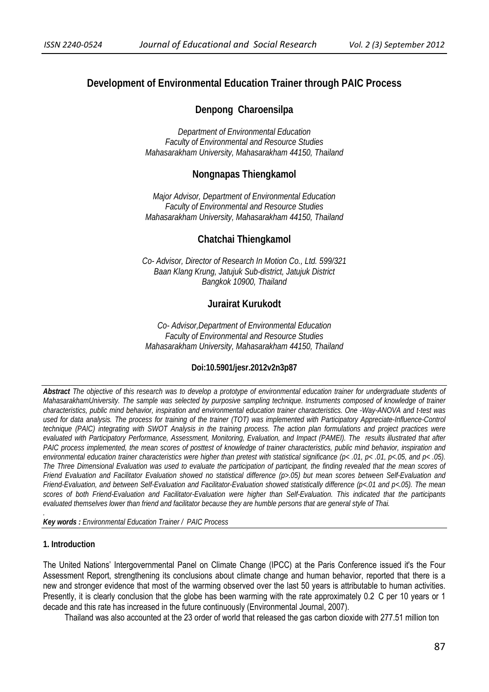# **Development of Environmental Education Trainer through PAIC Process**

# **Denpong Charoensilpa**

*Department of Environmental Education Faculty of Environmental and Resource Studies Mahasarakham University, Mahasarakham 44150, Thailand* 

# **Nongnapas Thiengkamol**

*Major Advisor, Department of Environmental Education Faculty of Environmental and Resource Studies Mahasarakham University, Mahasarakham 44150, Thailand*

# **Chatchai Thiengkamol**

*Co- Advisor, Director of Research In Motion Co., Ltd. 599/321 Baan Klang Krung, Jatujuk Sub-district, Jatujuk District Bangkok 10900, Thailand* 

# **Jurairat Kurukodt**

*Co- Advisor,Department of Environmental Education Faculty of Environmental and Resource Studies Mahasarakham University, Mahasarakham 44150, Thailand*

# **Doi:10.5901/jesr.2012v2n3p87**

*Abstract The objective of this research was to develop a prototype of environmental education trainer for undergraduate students of MahasarakhamUniversity. The sample was selected by purposive sampling technique. Instruments composed of knowledge of trainer characteristics, public mind behavior, inspiration and environmental education trainer characteristics. One -Way-ANOVA and t-test was used for data analysis. The process for training of the trainer (TOT) was implemented with Participatory Appreciate-Influence-Control technique (PAIC) integrating with SWOT Analysis in the training process. The action plan formulations and project practices were evaluated with Participatory Performance, Assessment, Monitoring, Evaluation, and Impact (PAMEI). The results illustrated that after*  PAIC process implemented, the mean scores of posttest of knowledge of trainer characteristics, public mind behavior, inspiration and *environmental education trainer characteristics were higher than pretest with statistical significance (p< .01, p< .01, p<.05, and p< .05). The Three Dimensional Evaluation was used to evaluate the participation of participant, the finding revealed that the mean scores of Friend Evaluation and Facilitator Evaluation showed no statistical difference (p>.05) but mean scores between Self-Evaluation and Friend-Evaluation, and between Self-Evaluation and Facilitator-Evaluation showed statistically difference (p<.01 and p<.05). The mean scores of both Friend-Evaluation and Facilitator-Evaluation were higher than Self-Evaluation. This indicated that the participants evaluated themselves lower than friend and facilitator because they are humble persons that are general style of Thai.* 

*Key words : Environmental Education Trainer / PAIC Process* 

#### **1. Introduction**

*.* 

The United Nations' Intergovernmental Panel on Climate Change (IPCC) at the Paris Conference issued it's the Four Assessment Report, strengthening its conclusions about climate change and human behavior, reported that there is a new and stronger evidence that most of the warming observed over the last 50 years is attributable to human activities. Presently, it is clearly conclusion that the globe has been warming with the rate approximately 0.2 C per 10 years or 1 decade and this rate has increased in the future continuously (Environmental Journal, 2007).

Thailand was also accounted at the 23 order of world that released the gas carbon dioxide with 277.51 million ton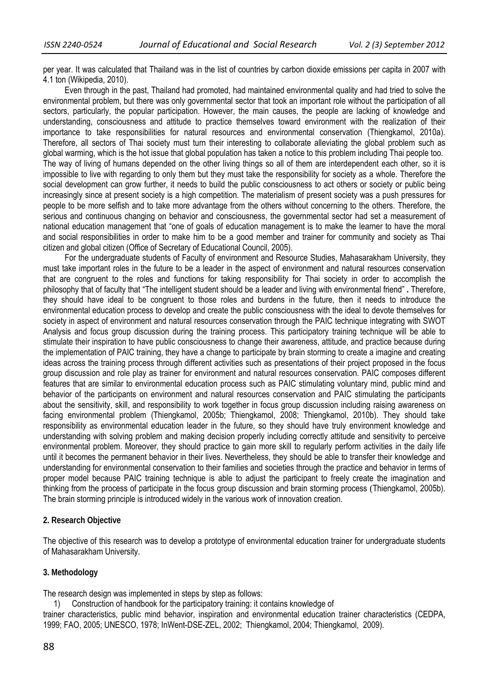per year. It was calculated that Thailand was in the list of countries by carbon dioxide emissions per capita in 2007 with 4.1 ton (Wikipedia, 2010).

Even through in the past, Thailand had promoted, had maintained environmental quality and had tried to solve the environmental problem, but there was only governmental sector that took an important role without the participation of all sectors, particularly, the popular participation. However, the main causes, the people are lacking of knowledge and understanding, consciousness and attitude to practice themselves toward environment with the realization of their importance to take responsibilities for natural resources and environmental conservation (Thiengkamol, 2010a). Therefore, all sectors of Thai society must turn their interesting to collaborate alleviating the global problem such as global warming, which is the hot issue that global population has taken a notice to this problem including Thai people too. The way of living of humans depended on the other living things so all of them are interdependent each other, so it is impossible to live with regarding to only them but they must take the responsibility for society as a whole. Therefore the social development can grow further, it needs to build the public consciousness to act others or society or public being increasingly since at present society is a high competition. The materialism of present society was a push pressures for people to be more selfish and to take more advantage from the others without concerning to the others. Therefore, the serious and continuous changing on behavior and consciousness, the governmental sector had set a measurement of national education management that "one of goals of education management is to make the learner to have the moral and social responsibilities in order to make him to be a good member and trainer for community and society as Thai citizen and global citizen (Office of Secretary of Educational Council, 2005).

For the undergraduate students of Faculty of environment and Resource Studies, Mahasarakham University, they must take important roles in the future to be a leader in the aspect of environment and natural resources conservation that are congruent to the roles and functions for taking responsibility for Thai society in order to accomplish the philosophy that of faculty that "The intelligent student should be a leader and living with environmental friend" **.** Therefore, they should have ideal to be congruent to those roles and burdens in the future, then it needs to introduce the environmental education process to develop and create the public consciousness with the ideal to devote themselves for society in aspect of environment and natural resources conservation through the PAIC technique integrating with SWOT Analysis and focus group discussion during the training process. This participatory training technique will be able to stimulate their inspiration to have public consciousness to change their awareness, attitude, and practice because during the implementation of PAIC training, they have a change to participate by brain storming to create a imagine and creating ideas across the training process through different activities such as presentations of their project proposed in the focus group discussion and role play as trainer for environment and natural resources conservation. PAIC composes different features that are similar to environmental education process such as PAIC stimulating voluntary mind, public mind and behavior of the participants on environment and natural resources conservation and PAIC stimulating the participants about the sensitivity, skill, and responsibility to work together in focus group discussion including raising awareness on facing environmental problem (Thiengkamol, 2005b; Thiengkamol, 2008; Thiengkamol, 2010b). They should take responsibility as environmental education leader in the future, so they should have truly environment knowledge and understanding with solving problem and making decision properly including correctly attitude and sensitivity to perceive environmental problem. Moreover, they should practice to gain more skill to regularly perform activities in the daily life until it becomes the permanent behavior in their lives. Nevertheless, they should be able to transfer their knowledge and understanding for environmental conservation to their families and societies through the practice and behavior in terms of proper model because PAIC training technique is able to adjust the participant to freely create the imagination and thinking from the process of participate in the focus group discussion and brain storming process (Thiengkamol, 2005b). The brain storming principle is introduced widely in the various work of innovation creation.

# **2. Research Objective**

The objective of this research was to develop a prototype of environmental education trainer for undergraduate students of Mahasarakham University.

# **3. Methodology**

The research design was implemented in steps by step as follows:

1) Construction of handbook for the participatory training: it contains knowledge of

trainer characteristics, public mind behavior, inspiration and environmental education trainer characteristics (CEDPA, 1999; FAO, 2005; UNESCO, 1978; InWent-DSE-ZEL, 2002; Thiengkamol, 2004; Thiengkamol, 2009).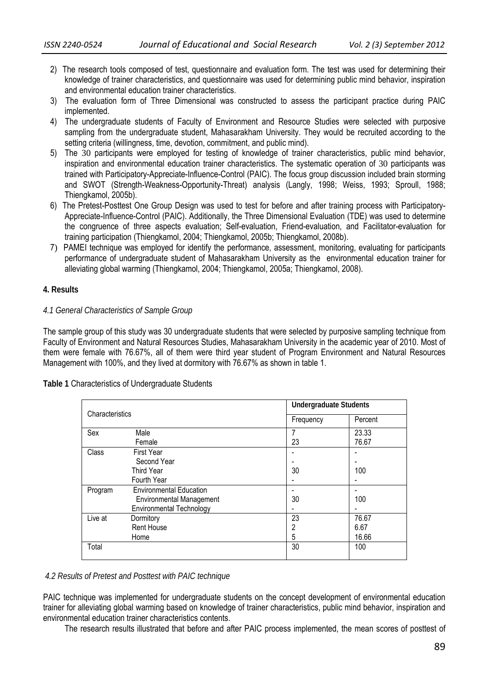- 2) The research tools composed of test, questionnaire and evaluation form. The test was used for determining their knowledge of trainer characteristics, and questionnaire was used for determining public mind behavior, inspiration and environmental education trainer characteristics.
- 3) The evaluation form of Three Dimensional was constructed to assess the participant practice during PAIC implemented.
- 4) The undergraduate students of Faculty of Environment and Resource Studies were selected with purposive sampling from the undergraduate student, Mahasarakham University. They would be recruited according to the setting criteria (willingness, time, devotion, commitment, and public mind).
- 5) The 30 participants were employed for testing of knowledge of trainer characteristics, public mind behavior, inspiration and environmental education trainer characteristics. The systematic operation of 30 participants was trained with Participatory-Appreciate-Influence-Control (PAIC). The focus group discussion included brain storming and SWOT (Strength-Weakness-Opportunity-Threat) analysis (Langly, 1998; Weiss, 1993; Sproull, 1988; Thiengkamol, 2005b).
- 6) The Pretest-Posttest One Group Design was used to test for before and after training process with Participatory-Appreciate-Influence-Control (PAIC). Additionally, the Three Dimensional Evaluation (TDE) was used to determine the congruence of three aspects evaluation; Self-evaluation, Friend-evaluation, and Facilitator-evaluation for training participation (Thiengkamol, 2004; Thiengkamol, 2005b; Thiengkamol, 2008b).
- 7) PAMEI technique was employed for identify the performance, assessment, monitoring, evaluating for participants performance of undergraduate student of Mahasarakham University as the environmental education trainer for alleviating global warming (Thiengkamol, 2004; Thiengkamol, 2005a; Thiengkamol, 2008).

# **4. Results**

# *4.1 General Characteristics of Sample Group*

The sample group of this study was 30 undergraduate students that were selected by purposive sampling technique from Faculty of Environment and Natural Resources Studies, Mahasarakham University in the academic year of 2010. Most of them were female with 76.67%, all of them were third year student of Program Environment and Natural Resources Management with 100%, and they lived at dormitory with 76.67% as shown in table 1.

**Table 1** Characteristics of Undergraduate Students

| Characteristics |                                 | <b>Undergraduate Students</b> |         |  |  |
|-----------------|---------------------------------|-------------------------------|---------|--|--|
|                 |                                 | Frequency                     | Percent |  |  |
| Sex             | Male                            | 7                             | 23.33   |  |  |
|                 | Female                          | 23                            | 76.67   |  |  |
| Class           | First Year                      |                               |         |  |  |
|                 | Second Year                     |                               |         |  |  |
|                 | Third Year                      | 30                            | 100     |  |  |
|                 | Fourth Year                     | $\overline{\phantom{a}}$      |         |  |  |
| Program         | <b>Environmental Education</b>  |                               |         |  |  |
|                 | <b>Environmental Management</b> | 30                            | 100     |  |  |
|                 | <b>Environmental Technology</b> | ٠                             |         |  |  |
| Live at         | Dormitory                       | 23                            | 76.67   |  |  |
|                 | <b>Rent House</b>               | 2                             | 6.67    |  |  |
|                 | Home                            | 5                             | 16.66   |  |  |
| Total           |                                 | 30                            | 100     |  |  |

## *4.2 Results of Pretest and Posttest with PAIC technique*

PAIC technique was implemented for undergraduate students on the concept development of environmental education trainer for alleviating global warming based on knowledge of trainer characteristics, public mind behavior, inspiration and environmental education trainer characteristics contents.

The research results illustrated that before and after PAIC process implemented, the mean scores of posttest of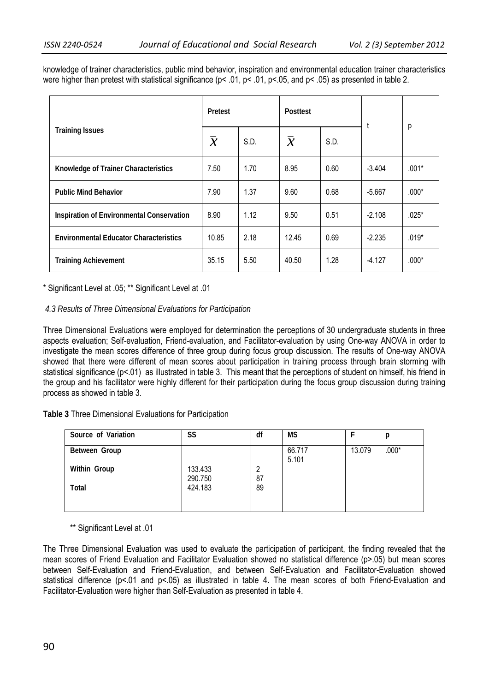| knowledge of trainer characteristics, public mind behavior, inspiration and environmental education trainer characteristics |  |  |  |
|-----------------------------------------------------------------------------------------------------------------------------|--|--|--|
| were higher than pretest with statistical significance (p< .01, p< .01, p< .05, and p< .05) as presented in table 2.        |  |  |  |

|                                               | Pretest                  |      | <b>Posttest</b> |      |          |         |
|-----------------------------------------------|--------------------------|------|-----------------|------|----------|---------|
| <b>Training Issues</b>                        | $\overline{\mathcal{X}}$ | S.D. | $\mathcal{X}$   | S.D. |          | р       |
| Knowledge of Trainer Characteristics          | 7.50                     | 1.70 | 8.95            | 0.60 | $-3.404$ | $.001*$ |
| <b>Public Mind Behavior</b>                   | 7.90                     | 1.37 | 9.60            | 0.68 | $-5.667$ | $.000*$ |
| Inspiration of Environmental Conservation     | 8.90                     | 1.12 | 9.50            | 0.51 | $-2.108$ | $.025*$ |
| <b>Environmental Educator Characteristics</b> | 10.85                    | 2.18 | 12.45           | 0.69 | $-2.235$ | $.019*$ |
| <b>Training Achievement</b>                   | 35.15                    | 5.50 | 40.50           | 1.28 | $-4.127$ | $.000*$ |

\* Significant Level at .05; \*\* Significant Level at .01

## *4.3 Results of Three Dimensional Evaluations for Participation*

Three Dimensional Evaluations were employed for determination the perceptions of 30 undergraduate students in three aspects evaluation; Self-evaluation, Friend-evaluation, and Facilitator-evaluation by using One-way ANOVA in order to investigate the mean scores difference of three group during focus group discussion. The results of One-way ANOVA showed that there were different of mean scores about participation in training process through brain storming with statistical significance (p<.01) as illustrated in table 3. This meant that the perceptions of student on himself, his friend in the group and his facilitator were highly different for their participation during the focus group discussion during training process as showed in table 3.

**Table 3** Three Dimensional Evaluations for Participation

| Source of Variation | SS                 | df      | <b>MS</b>       |        | р       |
|---------------------|--------------------|---------|-----------------|--------|---------|
| Between Group       |                    |         | 66.717<br>5.101 | 13.079 | $.000*$ |
| Within Group        | 133.433<br>290.750 | 2<br>87 |                 |        |         |
| <b>Total</b>        | 424.183            | 89      |                 |        |         |
|                     |                    |         |                 |        |         |

\*\* Significant Level at .01

The Three Dimensional Evaluation was used to evaluate the participation of participant, the finding revealed that the mean scores of Friend Evaluation and Facilitator Evaluation showed no statistical difference (p>.05) but mean scores between Self-Evaluation and Friend-Evaluation, and between Self-Evaluation and Facilitator-Evaluation showed statistical difference (p<.01 and p<.05) as illustrated in table 4. The mean scores of both Friend-Evaluation and Facilitator-Evaluation were higher than Self-Evaluation as presented in table 4.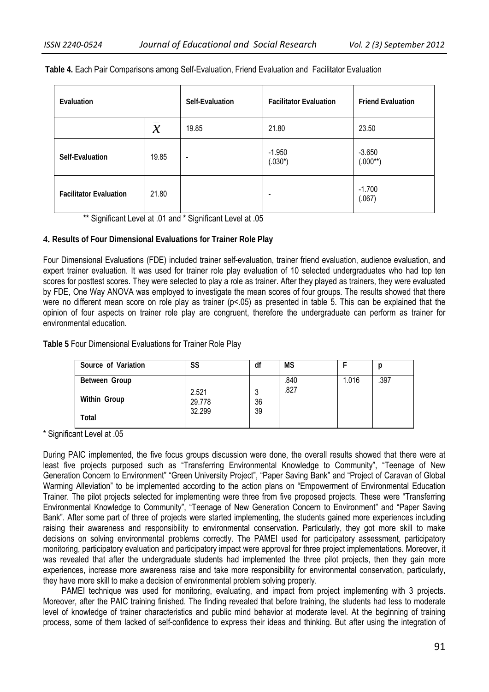| Evaluation                    |       | Self-Evaluation          | <b>Facilitator Evaluation</b> | <b>Friend Evaluation</b>  |  |
|-------------------------------|-------|--------------------------|-------------------------------|---------------------------|--|
| $\mathcal{X}$                 |       | 19.85                    | 21.80                         | 23.50                     |  |
| Self-Evaluation               | 19.85 | $\overline{\phantom{a}}$ | $-1.950$<br>$(.030*)$         | $-3.650$<br>$(.000^{**})$ |  |
| <b>Facilitator Evaluation</b> | 21.80 |                          | $\overline{\phantom{a}}$      | $-1.700$<br>(.067)        |  |

 **Table 4.** Each Pair Comparisons among Self-Evaluation, Friend Evaluation and Facilitator Evaluation

\*\* Significant Level at .01 and \* Significant Level at .05

## **4. Results of Four Dimensional Evaluations for Trainer Role Play**

Four Dimensional Evaluations (FDE) included trainer self-evaluation, trainer friend evaluation, audience evaluation, and expert trainer evaluation. It was used for trainer role play evaluation of 10 selected undergraduates who had top ten scores for posttest scores. They were selected to play a role as trainer. After they played as trainers, they were evaluated by FDE, One Way ANOVA was employed to investigate the mean scores of four groups. The results showed that there were no different mean score on role play as trainer ( $p<.05$ ) as presented in table 5. This can be explained that the opinion of four aspects on trainer role play are congruent, therefore the undergraduate can perform as trainer for environmental education.

**Table 5** Four Dimensional Evaluations for Trainer Role Play

| Source of Variation | SS              | df      | <b>MS</b> |       |      |
|---------------------|-----------------|---------|-----------|-------|------|
| Between Group       |                 |         | .840      | 1.016 | .397 |
| Within Group        | 2.521<br>29.778 | 3<br>36 | .827      |       |      |
| Total               | 32.299          | 39      |           |       |      |

\* Significant Level at .05

During PAIC implemented, the five focus groups discussion were done, the overall results showed that there were at least five projects purposed such as "Transferring Environmental Knowledge to Community", "Teenage of New Generation Concern to Environment" "Green University Project", "Paper Saving Bank" and "Project of Caravan of Global Warming Alleviation" to be implemented according to the action plans on "Empowerment of Environmental Education Trainer. The pilot projects selected for implementing were three from five proposed projects. These were "Transferring Environmental Knowledge to Community", "Teenage of New Generation Concern to Environment" and "Paper Saving Bank". After some part of three of projects were started implementing, the students gained more experiences including raising their awareness and responsibility to environmental conservation. Particularly, they got more skill to make decisions on solving environmental problems correctly. The PAMEI used for participatory assessment, participatory monitoring, participatory evaluation and participatory impact were approval for three project implementations. Moreover, it was revealed that after the undergraduate students had implemented the three pilot projects, then they gain more experiences, increase more awareness raise and take more responsibility for environmental conservation, particularly, they have more skill to make a decision of environmental problem solving properly.

 PAMEI technique was used for monitoring, evaluating, and impact from project implementing with 3 projects. Moreover, after the PAIC training finished. The finding revealed that before training, the students had less to moderate level of knowledge of trainer characteristics and public mind behavior at moderate level. At the beginning of training process, some of them lacked of self-confidence to express their ideas and thinking. But after using the integration of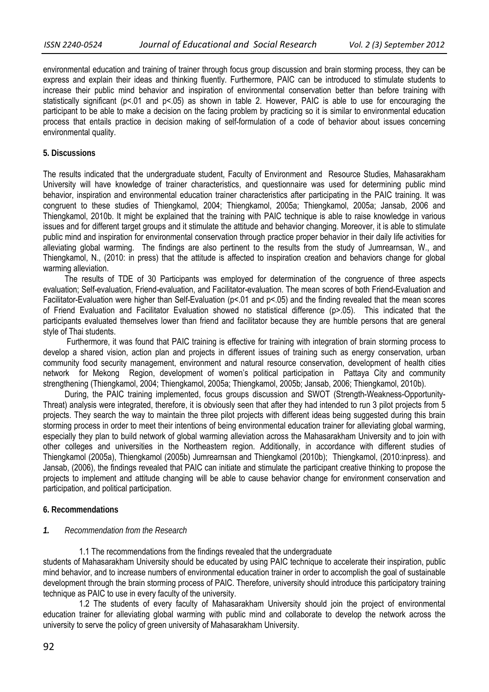environmental education and training of trainer through focus group discussion and brain storming process, they can be express and explain their ideas and thinking fluently. Furthermore, PAIC can be introduced to stimulate students to increase their public mind behavior and inspiration of environmental conservation better than before training with statistically significant (p<.01 and p<.05) as shown in table 2. However, PAIC is able to use for encouraging the participant to be able to make a decision on the facing problem by practicing so it is similar to environmental education process that entails practice in decision making of self-formulation of a code of behavior about issues concerning environmental quality.

#### **5. Discussions**

The results indicated that the undergraduate student, Faculty of Environment and Resource Studies, Mahasarakham University will have knowledge of trainer characteristics, and questionnaire was used for determining public mind behavior, inspiration and environmental education trainer characteristics after participating in the PAIC training. It was congruent to these studies of Thiengkamol, 2004; Thiengkamol, 2005a; Thiengkamol, 2005a; Jansab, 2006 and Thiengkamol, 2010b. It might be explained that the training with PAIC technique is able to raise knowledge in various issues and for different target groups and it stimulate the attitude and behavior changing. Moreover, it is able to stimulate public mind and inspiration for environmental conservation through practice proper behavior in their daily life activities for alleviating global warming. The findings are also pertinent to the results from the study of Jumrearnsan, W., and Thiengkamol, N., (2010: in press) that the attitude is affected to inspiration creation and behaviors change for global warming alleviation.

The results of TDE of 30 Participants was employed for determination of the congruence of three aspects evaluation; Self-evaluation, Friend-evaluation, and Facilitator-evaluation. The mean scores of both Friend-Evaluation and Facilitator-Evaluation were higher than Self-Evaluation (p<.01 and p<.05) and the finding revealed that the mean scores of Friend Evaluation and Facilitator Evaluation showed no statistical difference (p>.05). This indicated that the participants evaluated themselves lower than friend and facilitator because they are humble persons that are general style of Thai students.

 Furthermore, it was found that PAIC training is effective for training with integration of brain storming process to develop a shared vision, action plan and projects in different issues of training such as energy conservation, urban community food security management, environment and natural resource conservation, development of health cities network for Mekong Region, development of women's political participation in Pattaya City and community strengthening (Thiengkamol, 2004; Thiengkamol, 2005a; Thiengkamol, 2005b; Jansab, 2006; Thiengkamol, 2010b).

 During, the PAIC training implemented, focus groups discussion and SWOT (Strength-Weakness-Opportunity-Threat) analysis were integrated, therefore, it is obviously seen that after they had intended to run 3 pilot projects from 5 projects. They search the way to maintain the three pilot projects with different ideas being suggested during this brain storming process in order to meet their intentions of being environmental education trainer for alleviating global warming, especially they plan to build network of global warming alleviation across the Mahasarakham University and to join with other colleges and universities in the Northeastern region. Additionally, in accordance with different studies of Thiengkamol (2005a), Thiengkamol (2005b) Jumrearnsan and Thiengkamol (2010b); Thiengkamol, (2010:inpress). and Jansab, (2006), the findings revealed that PAIC can initiate and stimulate the participant creative thinking to propose the projects to implement and attitude changing will be able to cause behavior change for environment conservation and participation, and political participation.

## **6. Recommendations**

#### *1. Recommendation from the Research*

1.1 The recommendations from the findings revealed that the undergraduate

students of Mahasarakham University should be educated by using PAIC technique to accelerate their inspiration, public mind behavior, and to increase numbers of environmental education trainer in order to accomplish the goal of sustainable development through the brain storming process of PAIC. Therefore, university should introduce this participatory training technique as PAIC to use in every faculty of the university.

 1.2 The students of every faculty of Mahasarakham University should join the project of environmental education trainer for alleviating global warming with public mind and collaborate to develop the network across the university to serve the policy of green university of Mahasarakham University.